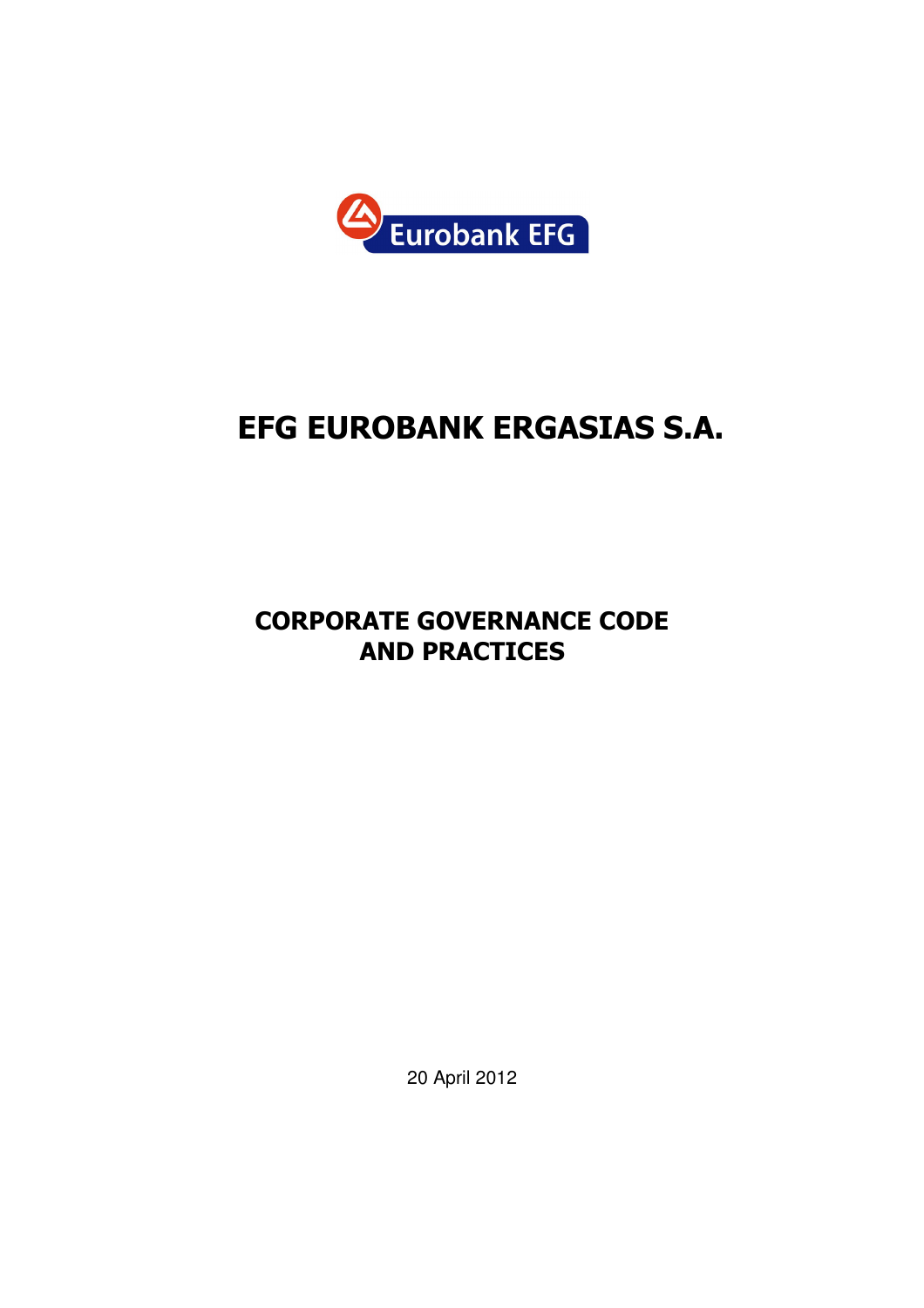

# EFG EUROBANK ERGASIΑS S.A.

## CORPORATE GOVERNANCE CODE AND PRACTICES

20 April 2012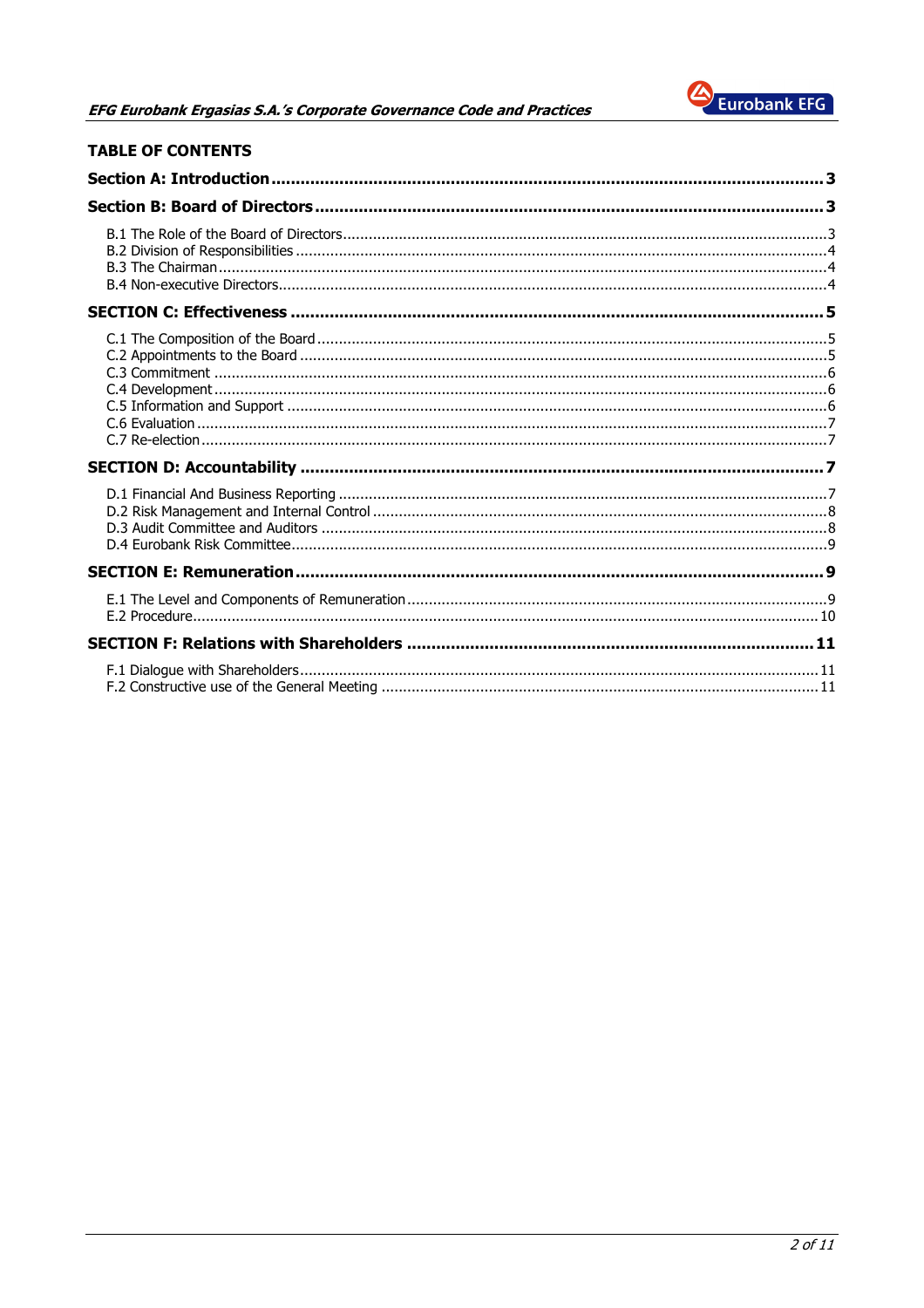

|  | <b>TABLE OF CONTENTS</b> |
|--|--------------------------|
|  |                          |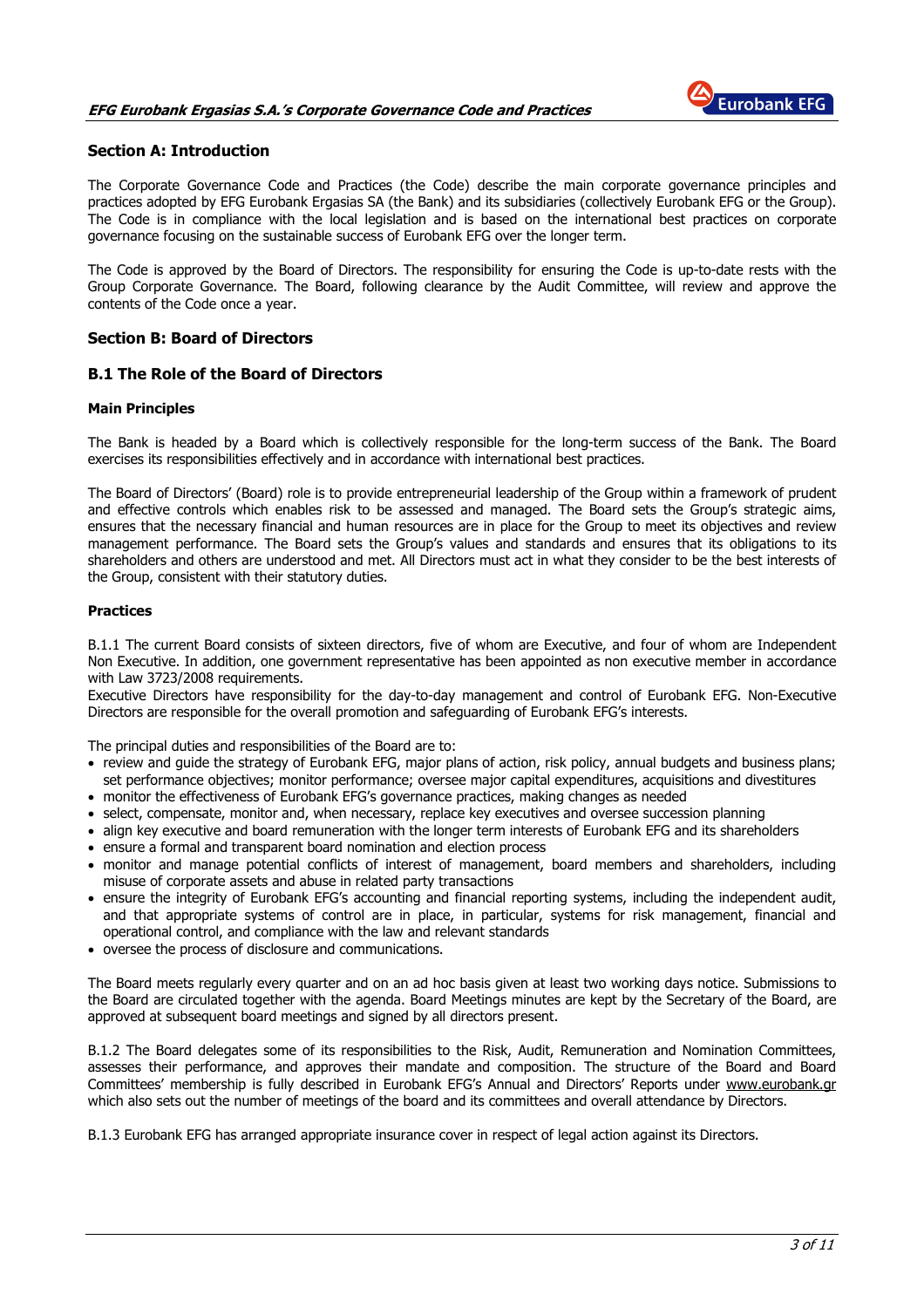## EFG Eurobank Ergasias S.A.'s Corporate Governance Code and Practices



## Section A: Introduction

The Corporate Governance Code and Practices (the Code) describe the main corporate governance principles and practices adopted by EFG Eurobank Ergasias SA (the Bank) and its subsidiaries (collectively Eurobank EFG or the Group). The Code is in compliance with the local legislation and is based on the international best practices on corporate governance focusing on the sustainable success of Eurobank EFG over the longer term.

The Code is approved by the Board of Directors. The responsibility for ensuring the Code is up-to-date rests with the Group Corporate Governance. The Board, following clearance by the Audit Committee, will review and approve the contents of the Code once a year.

## Section B: Board of Directors

## B.1 The Role of the Board of Directors

#### Main Principles

The Bank is headed by a Board which is collectively responsible for the long-term success of the Bank. The Board exercises its responsibilities effectively and in accordance with international best practices.

The Board of Directors' (Board) role is to provide entrepreneurial leadership of the Group within a framework of prudent and effective controls which enables risk to be assessed and managed. The Board sets the Group's strategic aims, ensures that the necessary financial and human resources are in place for the Group to meet its objectives and review management performance. The Board sets the Group's values and standards and ensures that its obligations to its shareholders and others are understood and met. All Directors must act in what they consider to be the best interests of the Group, consistent with their statutory duties.

### Practices

B.1.1 The current Board consists of sixteen directors, five of whom are Εxecutive, and four of whom are Independent Non Executive. In addition, one government representative has been appointed as non executive member in accordance with Law 3723/2008 requirements.

Executive Directors have responsibility for the day-to-day management and control of Eurobank EFG. Non-Executive Directors are responsible for the overall promotion and safeguarding of Eurobank EFG's interests.

The principal duties and responsibilities of the Board are to:

- review and guide the strategy of Eurobank EFG, major plans of action, risk policy, annual budgets and business plans; set performance objectives; monitor performance; oversee major capital expenditures, acquisitions and divestitures
- monitor the effectiveness of Eurobank EFG's governance practices, making changes as needed
- select, compensate, monitor and, when necessary, replace key executives and oversee succession planning
- align key executive and board remuneration with the longer term interests of Eurobank EFG and its shareholders • ensure a formal and transparent board nomination and election process
- monitor and manage potential conflicts of interest of management, board members and shareholders, including misuse of corporate assets and abuse in related party transactions
- ensure the integrity of Eurobank EFG's accounting and financial reporting systems, including the independent audit, and that appropriate systems of control are in place, in particular, systems for risk management, financial and operational control, and compliance with the law and relevant standards
- oversee the process of disclosure and communications.

The Board meets regularly every quarter and on an ad hoc basis given at least two working days notice. Submissions to the Board are circulated together with the agenda. Board Meetings minutes are kept by the Secretary of the Board, are approved at subsequent board meetings and signed by all directors present.

B.1.2 The Board delegates some of its responsibilities to the Risk, Audit, Remuneration and Nomination Committees, assesses their performance, and approves their mandate and composition. The structure of the Board and Board Committees' membership is fully described in Eurobank EFG's Annual and Directors' Reports under www.eurobank.gr which also sets out the number of meetings of the board and its committees and overall attendance by Directors.

B.1.3 Eurobank EFG has arranged appropriate insurance cover in respect of legal action against its Directors.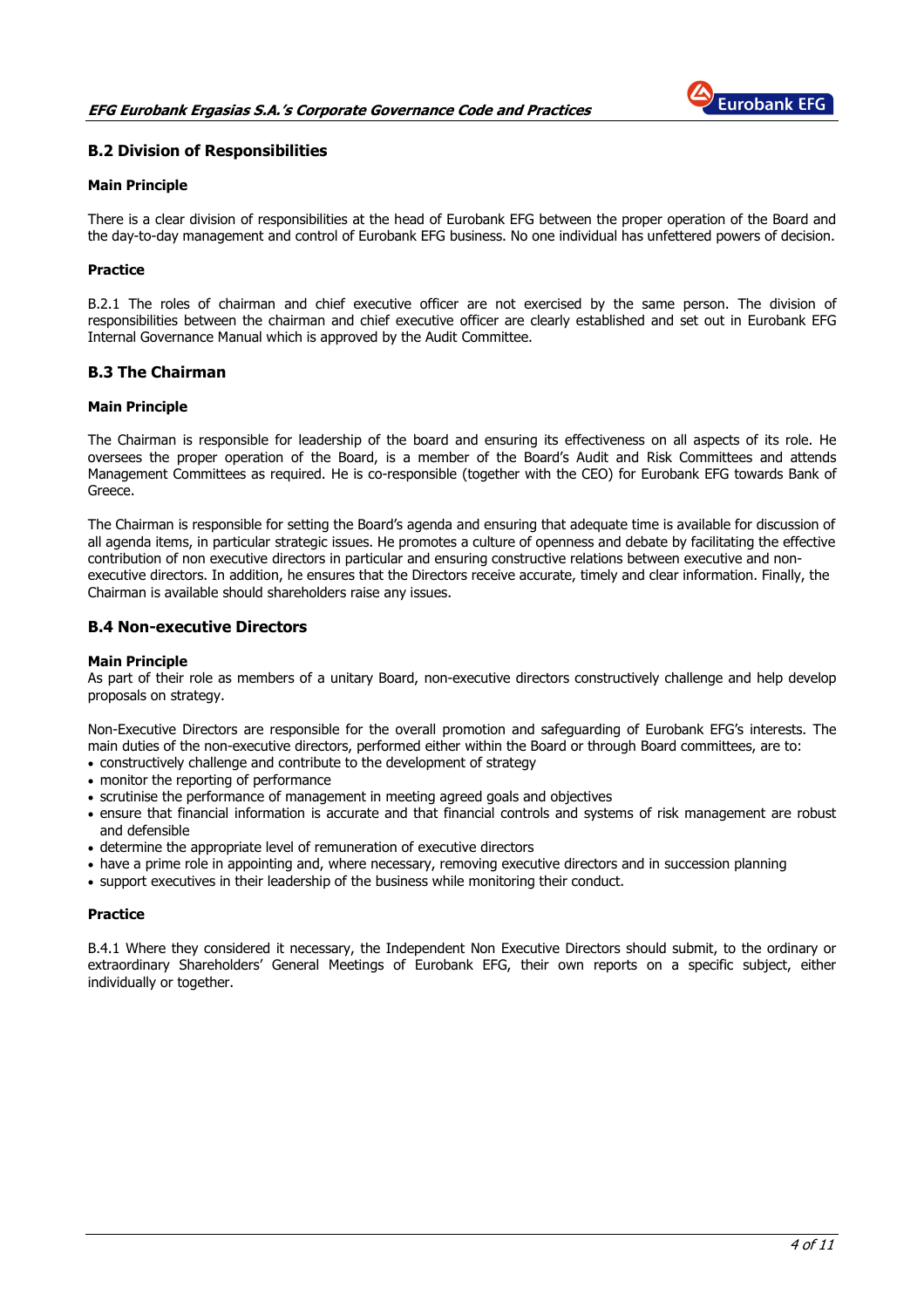

## B.2 Division of Responsibilities

#### Main Principle

There is a clear division of responsibilities at the head of Eurobank EFG between the proper operation of the Board and the day-to-day management and control of Eurobank EFG business. No one individual has unfettered powers of decision.

### **Practice**

B.2.1 The roles of chairman and chief executive officer are not exercised by the same person. The division of responsibilities between the chairman and chief executive officer are clearly established and set out in Eurobank EFG Internal Governance Manual which is approved by the Audit Committee.

## B.3 The Chairman

#### Main Principle

The Chairman is responsible for leadership of the board and ensuring its effectiveness on all aspects of its role. He oversees the proper operation of the Board, is a member of the Board's Audit and Risk Committees and attends Management Committees as required. He is co-responsible (together with the CEO) for Eurobank EFG towards Bank of Greece.

The Chairman is responsible for setting the Board's agenda and ensuring that adequate time is available for discussion of all agenda items, in particular strategic issues. He promotes a culture of openness and debate by facilitating the effective contribution of non executive directors in particular and ensuring constructive relations between executive and nonexecutive directors. In addition, he ensures that the Directors receive accurate, timely and clear information. Finally, the Chairman is available should shareholders raise any issues.

## B.4 Non-executive Directors

#### Main Principle

As part of their role as members of a unitary Board, non-executive directors constructively challenge and help develop proposals on strategy.

Non-Executive Directors are responsible for the overall promotion and safeguarding of Eurobank EFG's interests. The main duties of the non-executive directors, performed either within the Board or through Board committees, are to:

- constructively challenge and contribute to the development of strategy
- monitor the reporting of performance
- scrutinise the performance of management in meeting agreed goals and objectives
- ensure that financial information is accurate and that financial controls and systems of risk management are robust and defensible
- determine the appropriate level of remuneration of executive directors
- have a prime role in appointing and, where necessary, removing executive directors and in succession planning
- support executives in their leadership of the business while monitoring their conduct.

#### **Practice**

B.4.1 Where they considered it necessary, the Independent Non Executive Directors should submit, to the ordinary or extraordinary Shareholders' General Meetings of Eurobank EFG, their own reports on a specific subject, either individually or together.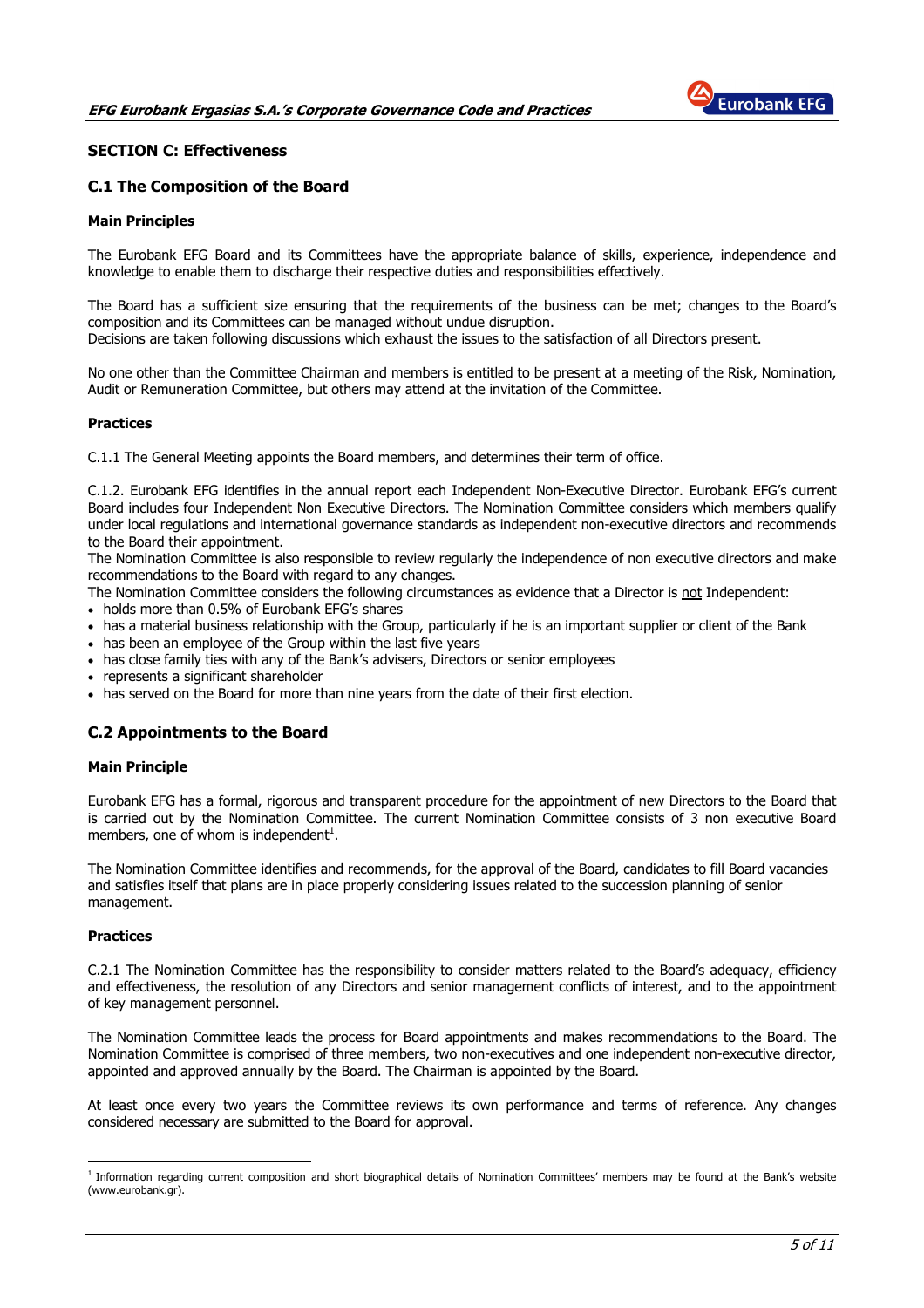

## SECTION C: Effectiveness

## C.1 The Composition of the Board

#### Main Principles

The Eurobank EFG Board and its Committees have the appropriate balance of skills, experience, independence and knowledge to enable them to discharge their respective duties and responsibilities effectively.

The Board has a sufficient size ensuring that the requirements of the business can be met; changes to the Board's composition and its Committees can be managed without undue disruption.

Decisions are taken following discussions which exhaust the issues to the satisfaction of all Directors present.

No one other than the Committee Chairman and members is entitled to be present at a meeting of the Risk, Nomination, Audit or Remuneration Committee, but others may attend at the invitation of the Committee.

#### **Practices**

C.1.1 The General Meeting appoints the Board members, and determines their term of office.

C.1.2. Eurobank EFG identifies in the annual report each Independent Non-Executive Director. Eurobank EFG's current Board includes four Independent Non Executive Directors. The Nomination Committee considers which members qualify under local regulations and international governance standards as independent non-executive directors and recommends to the Board their appointment.

The Nomination Committee is also responsible to review regularly the independence of non executive directors and make recommendations to the Board with regard to any changes.

The Nomination Committee considers the following circumstances as evidence that a Director is not Independent:

- holds more than 0.5% of Eurobank EFG's shares
- has a material business relationship with the Group, particularly if he is an important supplier or client of the Bank
- has been an employee of the Group within the last five years
- has close family ties with any of the Bank's advisers, Directors or senior employees
- represents a significant shareholder
- has served on the Board for more than nine years from the date of their first election.

## C.2 Appointments to the Board

#### Main Principle

Eurobank EFG has a formal, rigorous and transparent procedure for the appointment of new Directors to the Board that is carried out by the Nomination Committee. The current Nomination Committee consists of 3 non executive Board members, one of whom is independent $^1$ .

The Nomination Committee identifies and recommends, for the approval of the Board, candidates to fill Board vacancies and satisfies itself that plans are in place properly considering issues related to the succession planning of senior management.

#### **Practices**

 $\overline{a}$ 

C.2.1 The Nomination Committee has the responsibility to consider matters related to the Board's adequacy, efficiency and effectiveness, the resolution of any Directors and senior management conflicts of interest, and to the appointment of key management personnel.

The Nomination Committee leads the process for Board appointments and makes recommendations to the Board. The Nomination Committee is comprised of three members, two non-executives and one independent non-executive director, appointed and approved annually by the Board. The Chairman is appointed by the Board.

At least once every two years the Committee reviews its own performance and terms of reference. Any changes considered necessary are submitted to the Board for approval.

<sup>&</sup>lt;sup>1</sup> Information regarding current composition and short biographical details of Nomination Committees' members may be found at the Bank's website (www.eurobank.gr).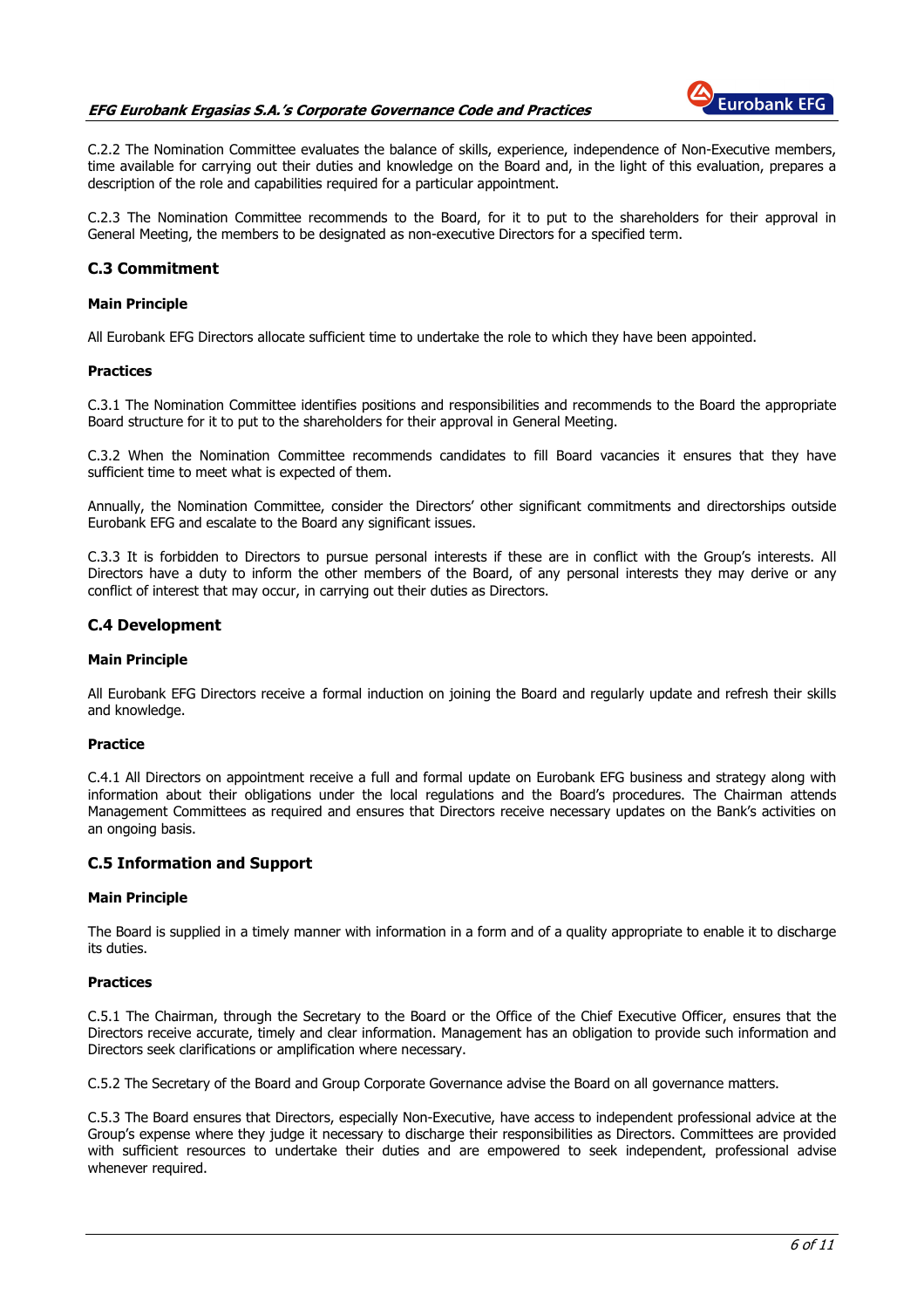## EFG Eurobank Ergasias S.A.'s Corporate Governance Code and Practices



C.2.2 The Nomination Committee evaluates the balance of skills, experience, independence of Non-Executive members, time available for carrying out their duties and knowledge on the Board and, in the light of this evaluation, prepares a description of the role and capabilities required for a particular appointment.

C.2.3 The Nomination Committee recommends to the Board, for it to put to the shareholders for their approval in General Meeting, the members to be designated as non-executive Directors for a specified term.

## C.3 Commitment

#### Main Principle

All Eurobank EFG Directors allocate sufficient time to undertake the role to which they have been appointed.

#### Practices

C.3.1 The Nomination Committee identifies positions and responsibilities and recommends to the Board the appropriate Board structure for it to put to the shareholders for their approval in General Meeting.

C.3.2 When the Nomination Committee recommends candidates to fill Board vacancies it ensures that they have sufficient time to meet what is expected of them.

Annually, the Nomination Committee, consider the Directors' other significant commitments and directorships outside Eurobank EFG and escalate to the Board any significant issues.

C.3.3 It is forbidden to Directors to pursue personal interests if these are in conflict with the Group's interests. All Directors have a duty to inform the other members of the Board, of any personal interests they may derive or any conflict of interest that may occur, in carrying out their duties as Directors.

## C.4 Development

#### Main Principle

All Eurobank EFG Directors receive a formal induction on joining the Board and regularly update and refresh their skills and knowledge.

#### Practice

C.4.1 All Directors on appointment receive a full and formal update on Eurobank EFG business and strategy along with information about their obligations under the local regulations and the Board's procedures. The Chairman attends Management Committees as required and ensures that Directors receive necessary updates on the Bank's activities on an ongoing basis.

## C.5 Information and Support

#### Main Principle

The Board is supplied in a timely manner with information in a form and of a quality appropriate to enable it to discharge its duties.

#### Practices

C.5.1 The Chairman, through the Secretary to the Board or the Office of the Chief Executive Officer, ensures that the Directors receive accurate, timely and clear information. Management has an obligation to provide such information and Directors seek clarifications or amplification where necessary.

C.5.2 The Secretary of the Board and Group Corporate Governance advise the Board on all governance matters.

C.5.3 The Board ensures that Directors, especially Non-Executive, have access to independent professional advice at the Group's expense where they judge it necessary to discharge their responsibilities as Directors. Committees are provided with sufficient resources to undertake their duties and are empowered to seek independent, professional advise whenever required.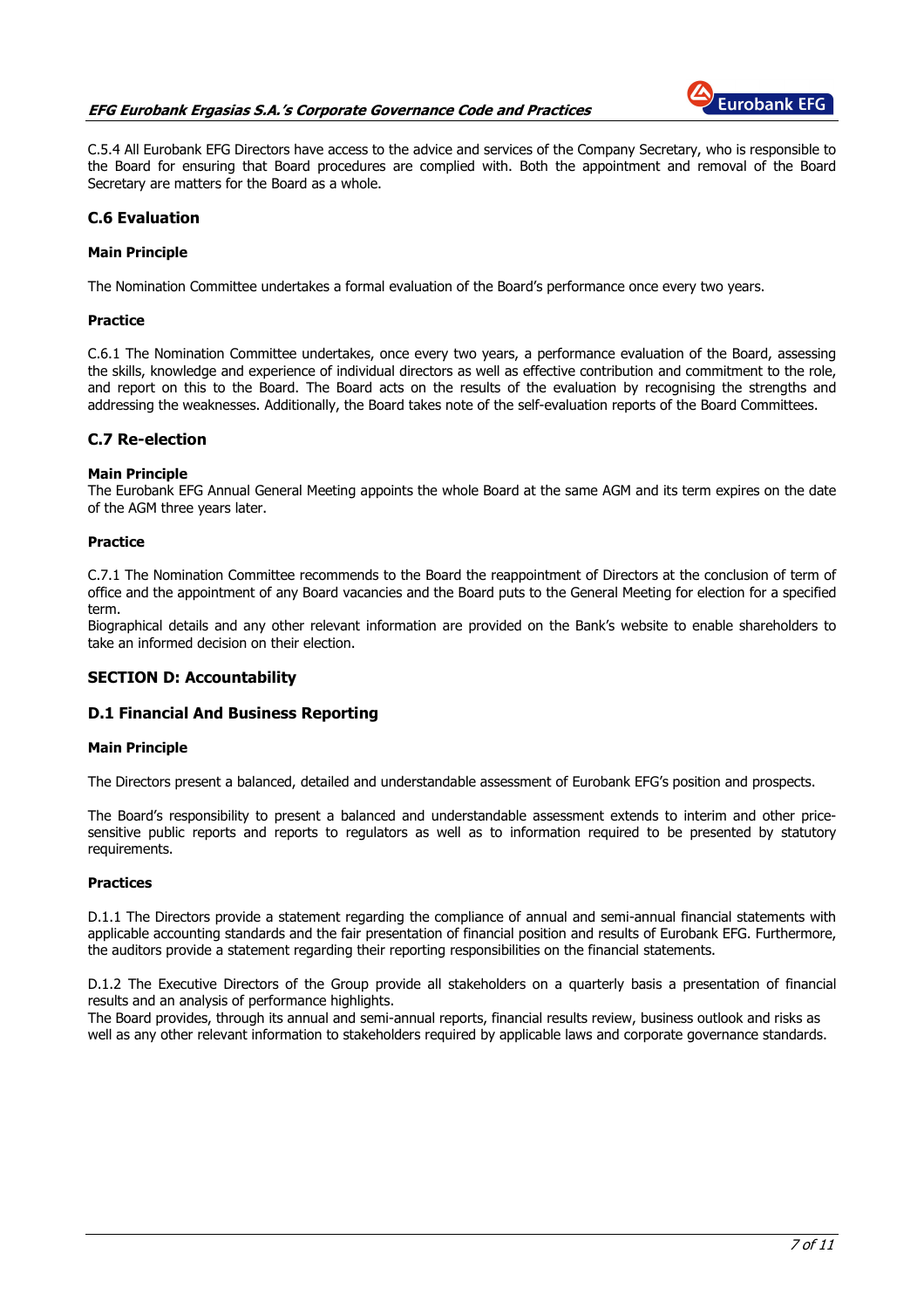## EFG Eurobank Ergasias S.A.'s Corporate Governance Code and Practices



C.5.4 All Eurobank EFG Directors have access to the advice and services of the Company Secretary, who is responsible to the Board for ensuring that Board procedures are complied with. Both the appointment and removal of the Board Secretary are matters for the Board as a whole.

## C.6 Evaluation

### Main Principle

The Nomination Committee undertakes a formal evaluation of the Board's performance once every two years.

#### Practice

C.6.1 The Nomination Committee undertakes, once every two years, a performance evaluation of the Board, assessing the skills, knowledge and experience of individual directors as well as effective contribution and commitment to the role, and report on this to the Board. The Board acts on the results of the evaluation by recognising the strengths and addressing the weaknesses. Additionally, the Board takes note of the self-evaluation reports of the Board Committees.

## C.7 Re-election

#### Main Principle

The Eurobank EFG Annual General Meeting appoints the whole Board at the same AGM and its term expires on the date of the AGM three years later.

#### Practice

C.7.1 The Nomination Committee recommends to the Board the reappointment of Directors at the conclusion of term of office and the appointment of any Board vacancies and the Board puts to the General Meeting for election for a specified term.

Biographical details and any other relevant information are provided on the Bank's website to enable shareholders to take an informed decision on their election.

## SECTION D: Accountability

## D.1 Financial And Business Reporting

#### Main Principle

The Directors present a balanced, detailed and understandable assessment of Eurobank EFG's position and prospects.

The Board's responsibility to present a balanced and understandable assessment extends to interim and other pricesensitive public reports and reports to regulators as well as to information required to be presented by statutory requirements.

#### **Practices**

D.1.1 The Directors provide a statement regarding the compliance of annual and semi-annual financial statements with applicable accounting standards and the fair presentation of financial position and results of Eurobank EFG. Furthermore, the auditors provide a statement regarding their reporting responsibilities on the financial statements.

D.1.2 The Executive Directors of the Group provide all stakeholders on a quarterly basis a presentation of financial results and an analysis of performance highlights.

The Board provides, through its annual and semi-annual reports, financial results review, business outlook and risks as well as any other relevant information to stakeholders required by applicable laws and corporate governance standards.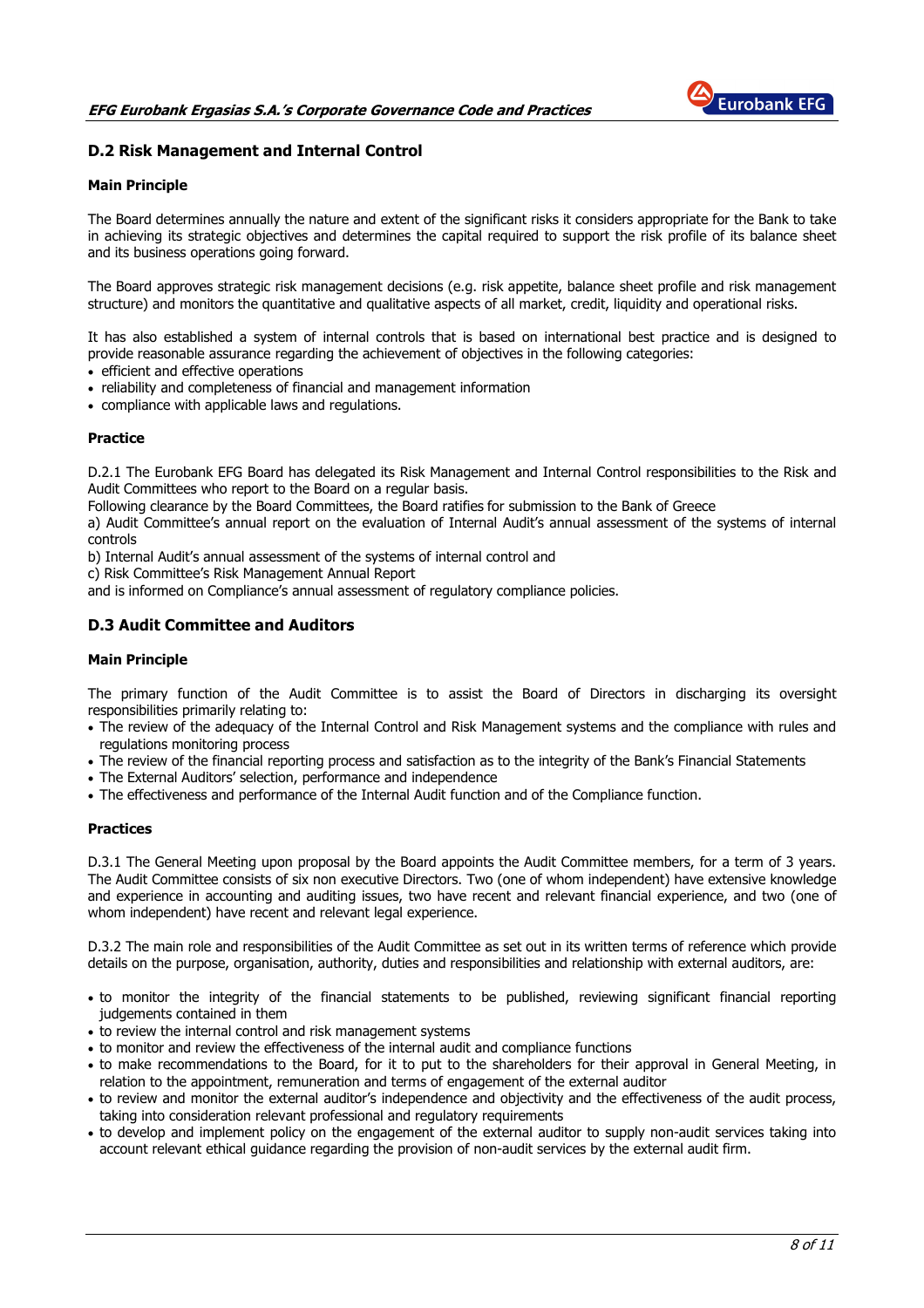

## D.2 Risk Management and Internal Control

#### Main Principle

The Board determines annually the nature and extent of the significant risks it considers appropriate for the Bank to take in achieving its strategic objectives and determines the capital required to support the risk profile of its balance sheet and its business operations going forward.

The Board approves strategic risk management decisions (e.g. risk appetite, balance sheet profile and risk management structure) and monitors the quantitative and qualitative aspects of all market, credit, liquidity and operational risks.

It has also established a system of internal controls that is based on international best practice and is designed to provide reasonable assurance regarding the achievement of objectives in the following categories:

- efficient and effective operations
- reliability and completeness of financial and management information
- compliance with applicable laws and regulations.

#### **Practice**

D.2.1 The Eurobank EFG Board has delegated its Risk Management and Internal Control responsibilities to the Risk and Audit Committees who report to the Board on a regular basis.

Following clearance by the Board Committees, the Board ratifies for submission to the Bank of Greece

a) Audit Committee's annual report on the evaluation of Internal Audit's annual assessment of the systems of internal controls

b) Internal Audit's annual assessment of the systems of internal control and

c) Risk Committee's Risk Management Annual Report

and is informed on Compliance's annual assessment of regulatory compliance policies.

## D.3 Audit Committee and Auditors

### Main Principle

The primary function of the Audit Committee is to assist the Board of Directors in discharging its oversight responsibilities primarily relating to:

- The review of the adequacy of the Internal Control and Risk Management systems and the compliance with rules and regulations monitoring process
- The review of the financial reporting process and satisfaction as to the integrity of the Bank's Financial Statements
- The External Auditors' selection, performance and independence
- The effectiveness and performance of the Internal Audit function and of the Compliance function.

#### Practices

D.3.1 The General Meeting upon proposal by the Board appoints the Audit Committee members, for a term of 3 years. The Audit Committee consists of six non executive Directors. Two (one of whom independent) have extensive knowledge and experience in accounting and auditing issues, two have recent and relevant financial experience, and two (one of whom independent) have recent and relevant legal experience.

D.3.2 The main role and responsibilities of the Audit Committee as set out in its written terms of reference which provide details on the purpose, organisation, authority, duties and responsibilities and relationship with external auditors, are:

- to monitor the integrity of the financial statements to be published, reviewing significant financial reporting judgements contained in them
- to review the internal control and risk management systems
- to monitor and review the effectiveness of the internal audit and compliance functions
- to make recommendations to the Board, for it to put to the shareholders for their approval in General Meeting, in relation to the appointment, remuneration and terms of engagement of the external auditor
- to review and monitor the external auditor's independence and objectivity and the effectiveness of the audit process, taking into consideration relevant professional and regulatory requirements
- to develop and implement policy on the engagement of the external auditor to supply non-audit services taking into account relevant ethical guidance regarding the provision of non-audit services by the external audit firm.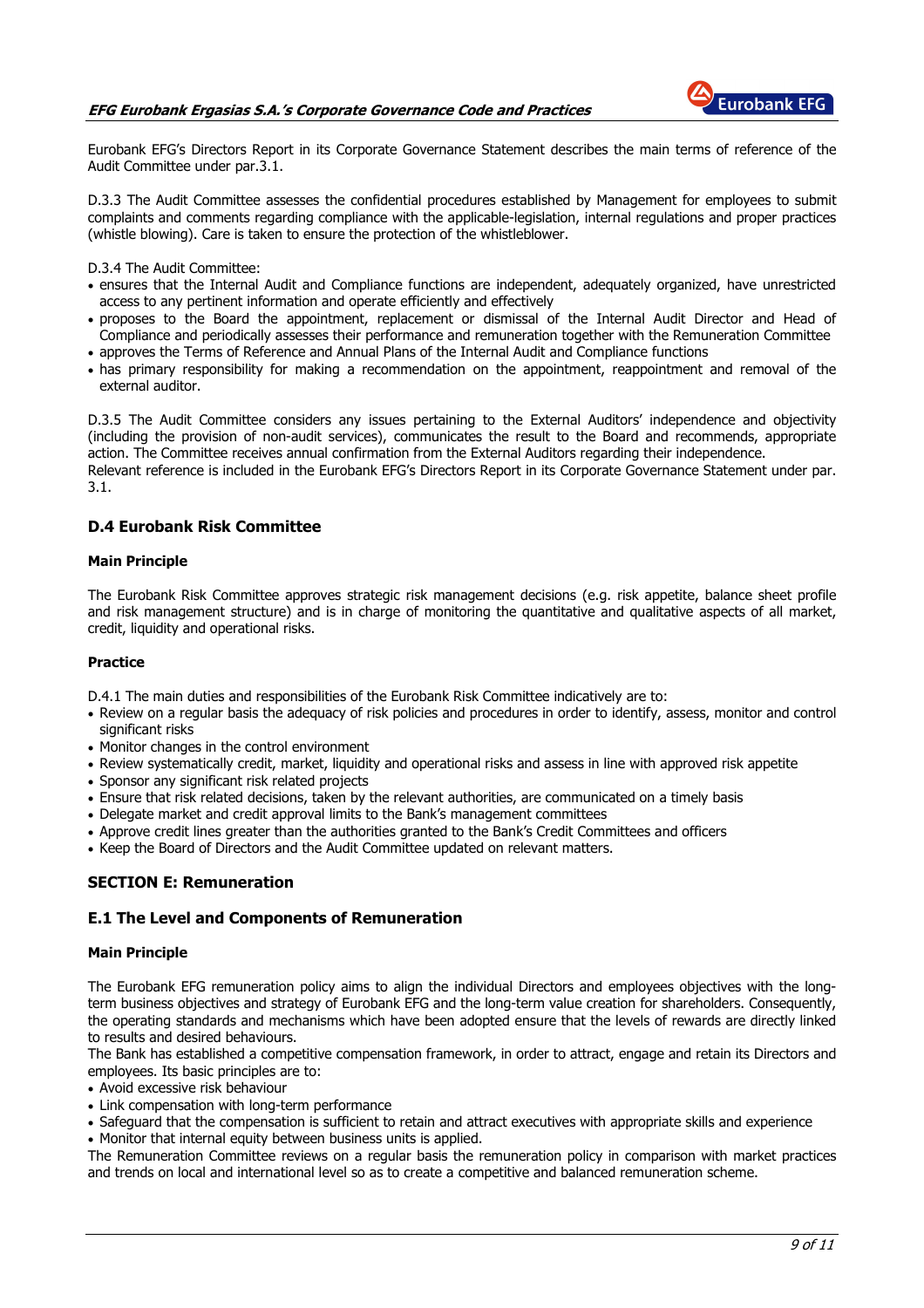

Eurobank EFG's Directors Report in its Corporate Governance Statement describes the main terms of reference of the Audit Committee under par.3.1.

D.3.3 The Audit Committee assesses the confidential procedures established by Management for employees to submit complaints and comments regarding compliance with the applicable-legislation, internal regulations and proper practices (whistle blowing). Care is taken to ensure the protection of the whistleblower.

D.3.4 The Audit Committee:

- ensures that the Internal Audit and Compliance functions are independent, adequately organized, have unrestricted access to any pertinent information and operate efficiently and effectively
- proposes to the Board the appointment, replacement or dismissal of the Internal Audit Director and Head of Compliance and periodically assesses their performance and remuneration together with the Remuneration Committee
- approves the Terms of Reference and Annual Plans of the Internal Audit and Compliance functions
- has primary responsibility for making a recommendation on the appointment, reappointment and removal of the external auditor.

D.3.5 The Audit Committee considers any issues pertaining to the External Auditors' independence and objectivity (including the provision of non-audit services), communicates the result to the Board and recommends, appropriate action. The Committee receives annual confirmation from the External Auditors regarding their independence. Relevant reference is included in the Eurobank EFG's Directors Report in its Corporate Governance Statement under par. 3.1.

## D.4 Eurobank Risk Committee

#### Main Principle

The Eurobank Risk Committee approves strategic risk management decisions (e.g. risk appetite, balance sheet profile and risk management structure) and is in charge of monitoring the quantitative and qualitative aspects of all market, credit, liquidity and operational risks.

#### Practice

D.4.1 The main duties and responsibilities of the Eurobank Risk Committee indicatively are to:

- Review on a regular basis the adequacy of risk policies and procedures in order to identify, assess, monitor and control significant risks
- Monitor changes in the control environment
- Review systematically credit, market, liquidity and operational risks and assess in line with approved risk appetite
- Sponsor any significant risk related projects
- Ensure that risk related decisions, taken by the relevant authorities, are communicated on a timely basis
- Delegate market and credit approval limits to the Bank's management committees
- Approve credit lines greater than the authorities granted to the Bank's Credit Committees and officers
- Keep the Board of Directors and the Audit Committee updated on relevant matters.

## SECTION E: Remuneration

## E.1 The Level and Components of Remuneration

#### Main Principle

The Eurobank EFG remuneration policy aims to align the individual Directors and employees objectives with the longterm business objectives and strategy of Eurobank EFG and the long-term value creation for shareholders. Consequently, the operating standards and mechanisms which have been adopted ensure that the levels of rewards are directly linked to results and desired behaviours.

The Bank has established a competitive compensation framework, in order to attract, engage and retain its Directors and employees. Its basic principles are to:

- Avoid excessive risk behaviour
- Link compensation with long-term performance
- Safeguard that the compensation is sufficient to retain and attract executives with appropriate skills and experience
- Monitor that internal equity between business units is applied.

The Remuneration Committee reviews on a regular basis the remuneration policy in comparison with market practices and trends on local and international level so as to create a competitive and balanced remuneration scheme.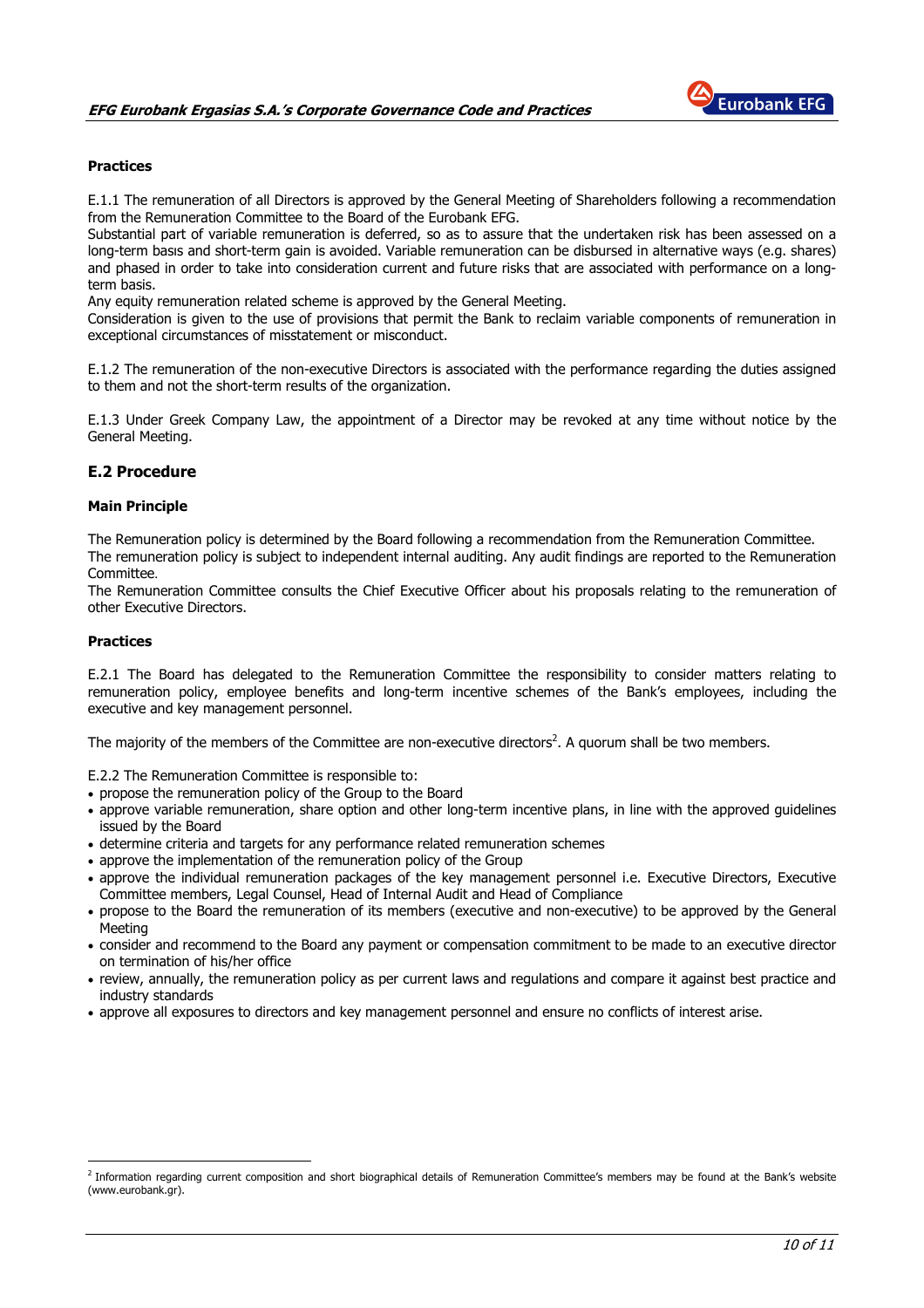

## **Practices**

E.1.1 The remuneration of all Directors is approved by the General Meeting of Shareholders following a recommendation from the Remuneration Committee to the Board of the Eurobank EFG.

Substantial part of variable remuneration is deferred, so as to assure that the undertaken risk has been assessed on a long-term basιs and short-term gain is avoided. Variable remuneration can be disbursed in alternative ways (e.g. shares) and phased in order to take into consideration current and future risks that are associated with performance on a longterm basis.

Any equity remuneration related scheme is approved by the General Meeting.

Consideration is given to the use of provisions that permit the Bank to reclaim variable components of remuneration in exceptional circumstances of misstatement or misconduct.

E.1.2 The remuneration of the non-executive Directors is associated with the performance regarding the duties assigned to them and not the short-term results of the organization.

E.1.3 Under Greek Company Law, the appointment of a Director may be revoked at any time without notice by the General Meeting.

## E.2 Procedure

#### Main Principle

The Remuneration policy is determined by the Board following a recommendation from the Remuneration Committee. The remuneration policy is subject to independent internal auditing. Any audit findings are reported to the Remuneration Committee.

The Remuneration Committee consults the Chief Executive Officer about his proposals relating to the remuneration of other Executive Directors.

#### Practices

 $\overline{a}$ 

E.2.1 The Board has delegated to the Remuneration Committee the responsibility to consider matters relating to remuneration policy, employee benefits and long-term incentive schemes of the Bank's employees, including the executive and key management personnel.

The majority of the members of the Committee are non-executive directors<sup>2</sup>. A quorum shall be two members.

E.2.2 The Remuneration Committee is responsible to:

- propose the remuneration policy of the Group to the Board
- approve variable remuneration, share option and other long-term incentive plans, in line with the approved guidelines issued by the Board
- determine criteria and targets for any performance related remuneration schemes
- approve the implementation of the remuneration policy of the Group
- approve the individual remuneration packages of the key management personnel i.e. Executive Directors, Executive Committee members, Legal Counsel, Head of Internal Audit and Head of Compliance
- propose to the Board the remuneration of its members (executive and non-executive) to be approved by the General Meeting
- consider and recommend to the Board any payment or compensation commitment to be made to an executive director on termination of his/her office
- review, annually, the remuneration policy as per current laws and regulations and compare it against best practice and industry standards
- approve all exposures to directors and key management personnel and ensure no conflicts of interest arise.

<sup>&</sup>lt;sup>2</sup> Information regarding current composition and short biographical details of Remuneration Committee's members may be found at the Bank's website (www.eurobank.gr).